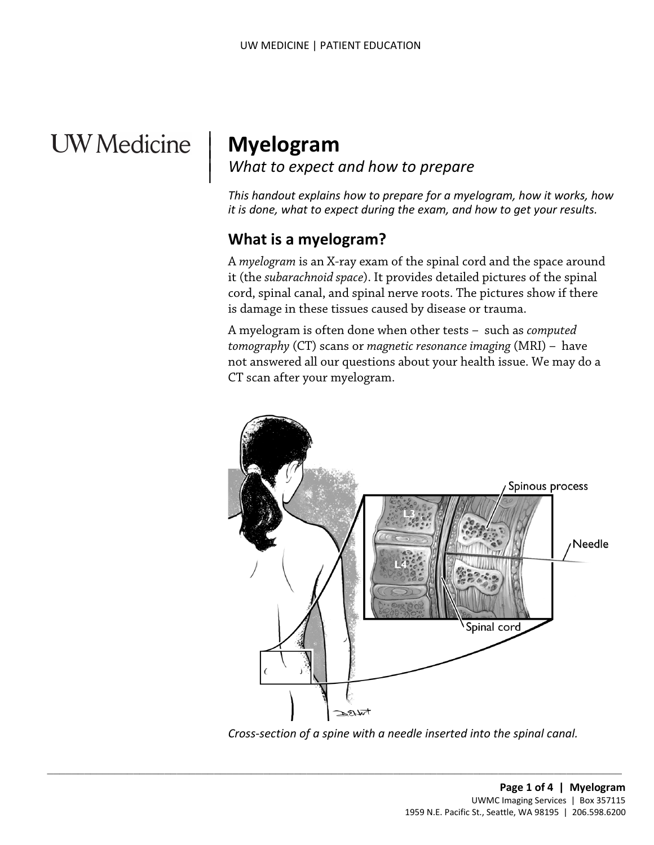# **UW** Medicine

 $\overline{\phantom{a}}$ 

 $\parallel$ 

# **Myelogram**  *What to expect and how to prepare*

*This handout explains how to prepare for a myelogram, how it works, how it is done, what to expect during the exam, and how to get your results.* 

#### **What is a myelogram?**

 is damage in these tissues caused by disease or trauma. A *myelogram* is an [X-ray](javascript:glossAry() exam of the spinal cord and the space around it (the *[subarachnoid space](javascript:glossAry()*). It provides detailed pictures of the spinal cord, spinal canal, and spinal nerve roots. The pictures show if there

 CT scan after your myelogram. cord, spinal canal, and spinal nerve roots. The pictures show if the<br>is damage in these tissues caused by disease or trauma.<br>A myelogram is often done when other tests – such as *computed*<br>*tomography* (CT) scans or *magne* A myelogram is often done when other tests – such as *computed tomography* (CT) scans or *magnetic resonance imaging* (MRI) – have not answered all our questions about your health issue. We may do a



*Cross-section of a spine with a needle inserted into the spinal canal.* 

 $\_$  ,  $\_$  ,  $\_$  ,  $\_$  ,  $\_$  ,  $\_$  ,  $\_$  ,  $\_$  ,  $\_$  ,  $\_$  ,  $\_$  ,  $\_$  ,  $\_$  ,  $\_$  ,  $\_$  ,  $\_$  ,  $\_$  ,  $\_$  ,  $\_$  ,  $\_$  ,  $\_$  ,  $\_$  ,  $\_$  ,  $\_$  ,  $\_$  ,  $\_$  ,  $\_$  ,  $\_$  ,  $\_$  ,  $\_$  ,  $\_$  ,  $\_$  ,  $\_$  ,  $\_$  ,  $\_$  ,  $\_$  ,  $\_$  ,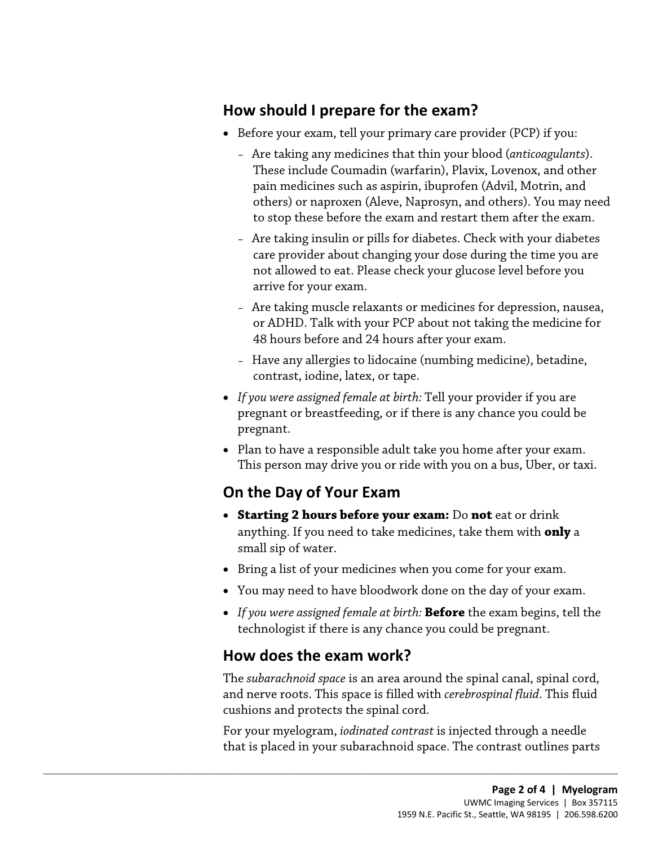#### **How should I prepare for the exam?**

- • Before your exam, tell your primary care provider (PCP) if you:
	- to stop these before the exam and restart them after the exam. – Are taking any medicines that thin your blood (*anticoagulants*). These include Coumadin (warfarin), Plavix, Lovenox, and other pain medicines such as aspirin, ibuprofen (Advil, Motrin, and others) or naproxen (Aleve, Naprosyn, and others). You may need
	- Are taking insulin or pills for diabetes. Check with your diabetes care provider about changing your dose during the time you are not allowed to eat. Please check your glucose level before you arrive for your exam.
- 48 hours before and 24 hours after your exam. - Are taking muscle relaxants or medicines for depression, nause<br>or ADHD. Talk with your PCP about not taking the medicine fo<br>48 hours before and 24 hours after your exam.<br>- Have any allergies to lidocaine (numbing medicin – Are taking muscle relaxants or medicines for depression, nausea, or ADHD. Talk with your PCP about not taking the medicine for
	- contrast, iodine, latex, or tape. – Have any allergies to lidocaine (numbing medicine), betadine,
	- *If you were assigned female at birth:* Tell your provider if you are pregnant or breastfeeding, or if there is any chance you could be pregnant.
	- • Plan to have a responsible adult take you home after your exam. This person may drive you or ride with you on a bus, Uber, or taxi.

## **On the Day of Your Exam**

- • **Starting 2 hours before your exam:** Do **not** eat or drink anything. If you need to take medicines, take them with **only** a small sip of water.
- Bring a list of your medicines when you come for your exam.
- You may need to have bloodwork done on the day of your exam.
- • *If you were assigned female at birth:* **Before** the exam begins, tell the technologist if there is any chance you could be pregnant.

#### **How does the exam work?**

 $\_$  ,  $\_$  ,  $\_$  ,  $\_$  ,  $\_$  ,  $\_$  ,  $\_$  ,  $\_$  ,  $\_$  ,  $\_$  ,  $\_$  ,  $\_$  ,  $\_$  ,  $\_$  ,  $\_$  ,  $\_$  ,  $\_$  ,  $\_$  ,  $\_$  ,  $\_$  ,  $\_$  ,  $\_$  ,  $\_$  ,  $\_$  ,  $\_$  ,  $\_$  ,  $\_$  ,  $\_$  ,  $\_$  ,  $\_$  ,  $\_$  ,  $\_$  ,  $\_$  ,  $\_$  ,  $\_$  ,  $\_$  ,  $\_$  ,

 The *subarachnoid space* is an area around the spinal canal, spinal cord, and nerve roots. This space is filled with *[cerebrospinal fluid](javascript:glossAry()*. This fluid cushions and protects the spinal cord.

For your myelogram, *iodinated contrast* is injected through a needle that is placed in your subarachnoid space. The contrast outlines parts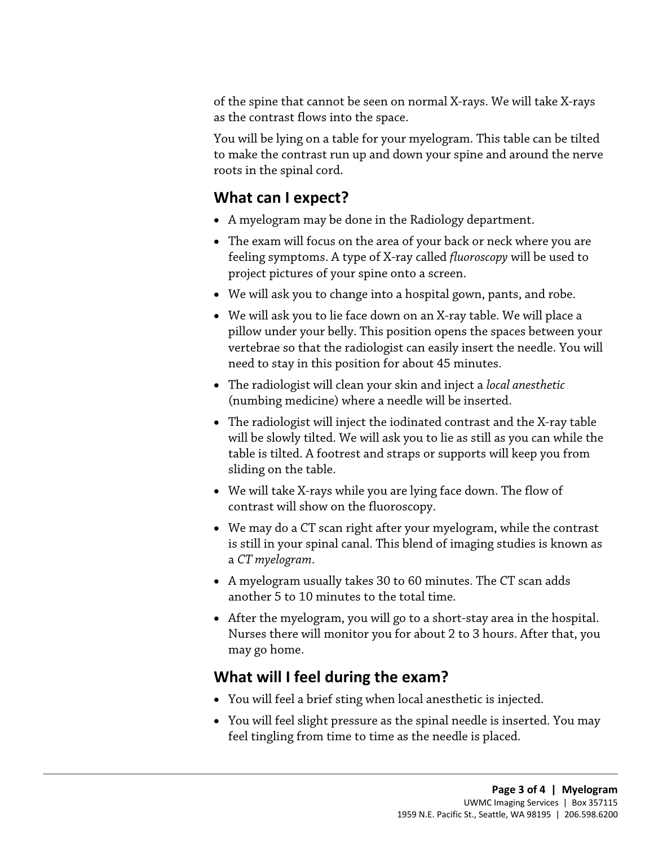of the spine that cannot be seen on normal X-rays. We will take [X-rays](javascript:glossAry()  as the contrast flows into the space.

 to make the contrast run up and down your spine and around the nerve You will be lying on a table for your myelogram. This table can be tilted roots in the spinal cord.

### **What can I expect?**

- A myelogram may be done in the Radiology department.
- The exam will focus on the area of your back or neck where you are feeling symptoms. A type of X-ray called *fluoroscopy* will be used to project pictures of your spine onto a screen.
- We will ask you to change into a hospital gown, pants, and robe.
- vertebrae so that the radiologist can easily insert the needle. You will • We will ask you to lie face down on an X-ray table. We will place a pillow under your belly. This position opens the spaces between you vertebrae so that the radiologist can easily insert the needle. You wi need to stay • We will ask you to lie face down on an X-ray table. We will place a pillow under your belly. This position opens the spaces between your need to stay in this position for about 45 minutes.
	- The radiologist will clean your skin and inject a *local anesthetic*  (numbing medicine) where a needle will be inserted.
	- • The radiologist will inject the iodinated contrast and the X-ray table will be slowly tilted. We will ask you to lie as still as you can while the table is tilted. A footrest and straps or supports will keep you from sliding on the table.
	- We will tak[e X-rays](javascript:glossAry() while you are lying face down. The flow of contrast will show on the fluoroscopy.
	- We may do a CT scan right after your myelogram, while the contrast is still in your spinal canal. This blend of imaging studies is known as a *CT myelogram*.
	- • A myelogram usually takes 30 to 60 minutes. The CT scan adds another 5 to 10 minutes to the total time.
	- After the myelogram, you will go to a short-stay area in the hospital. Nurses there will monitor you for about 2 to 3 hours. After that, you may go home.

#### **What will I feel during the exam?**

 $\_$  ,  $\_$  ,  $\_$  ,  $\_$  ,  $\_$  ,  $\_$  ,  $\_$  ,  $\_$  ,  $\_$  ,  $\_$  ,  $\_$  ,  $\_$  ,  $\_$  ,  $\_$  ,  $\_$  ,  $\_$  ,  $\_$  ,  $\_$  ,  $\_$  ,  $\_$  ,  $\_$  ,  $\_$  ,  $\_$  ,  $\_$  ,  $\_$  ,  $\_$  ,  $\_$  ,  $\_$  ,  $\_$  ,  $\_$  ,  $\_$  ,  $\_$  ,  $\_$  ,  $\_$  ,  $\_$  ,  $\_$  ,  $\_$  ,

- You will feel a brief sting when local [anesthetic](javascript:glossAry() is injected.
- You will feel slight pressure as the spinal needle is inserted. You may feel tingling from time to time as the needle is placed.